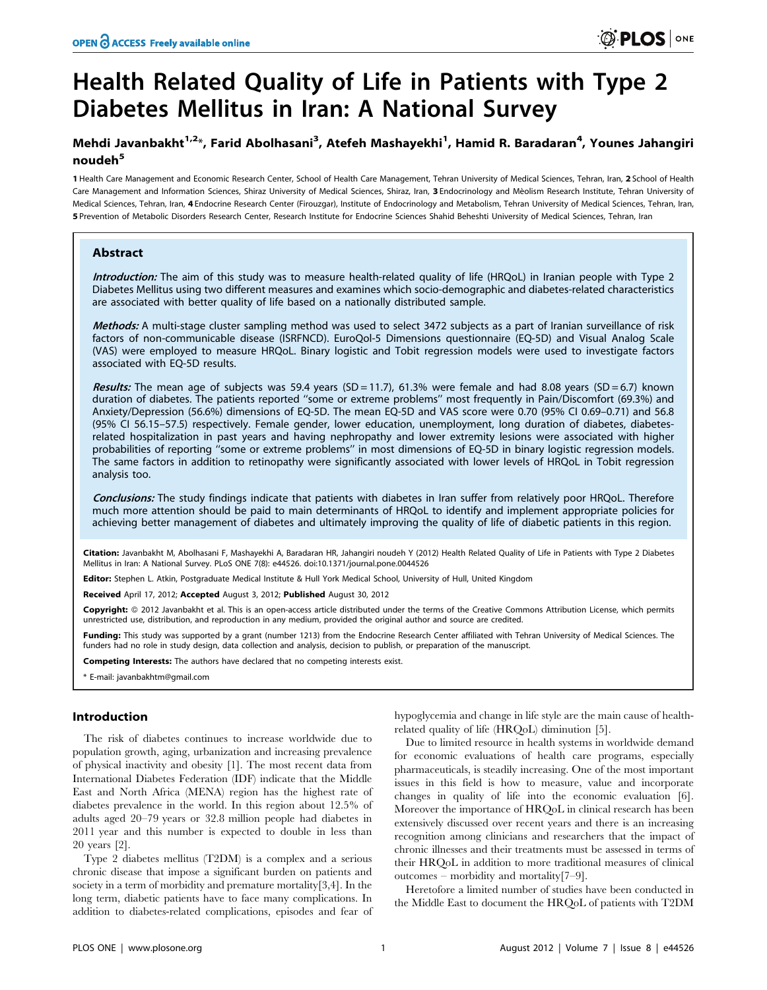# Health Related Quality of Life in Patients with Type 2 Diabetes Mellitus in Iran: A National Survey

### Mehdi Javanbakht<sup>1,2\*</sup>, Farid Abolhasani<sup>3</sup>, Atefeh Mashayekhi<sup>1</sup>, Hamid R. Baradaran<sup>4</sup>, Younes Jahangiri noudeh<sup>5</sup>

1 Health Care Management and Economic Research Center, School of Health Care Management, Tehran University of Medical Sciences, Tehran, Iran, 2 School of Health Care Management and Information Sciences, Shiraz University of Medical Sciences, Shiraz, Iran, 3 Endocrinology and Mèolism Research Institute, Tehran University of Medical Sciences, Tehran, Iran, 4 Endocrine Research Center (Firouzgar), Institute of Endocrinology and Metabolism, Tehran University of Medical Sciences, Tehran, Iran, 5 Prevention of Metabolic Disorders Research Center, Research Institute for Endocrine Sciences Shahid Beheshti University of Medical Sciences, Tehran, Iran

#### Abstract

Introduction: The aim of this study was to measure health-related quality of life (HROoL) in Iranian people with Type 2 Diabetes Mellitus using two different measures and examines which socio-demographic and diabetes-related characteristics are associated with better quality of life based on a nationally distributed sample.

Methods: A multi-stage cluster sampling method was used to select 3472 subjects as a part of Iranian surveillance of risk factors of non-communicable disease (ISRFNCD). EuroQol-5 Dimensions questionnaire (EQ-5D) and Visual Analog Scale (VAS) were employed to measure HRQoL. Binary logistic and Tobit regression models were used to investigate factors associated with EQ-5D results.

Results: The mean age of subjects was 59.4 years (SD = 11.7), 61.3% were female and had 8.08 years (SD = 6.7) known duration of diabetes. The patients reported ''some or extreme problems'' most frequently in Pain/Discomfort (69.3%) and Anxiety/Depression (56.6%) dimensions of EQ-5D. The mean EQ-5D and VAS score were 0.70 (95% CI 0.69–0.71) and 56.8 (95% CI 56.15–57.5) respectively. Female gender, lower education, unemployment, long duration of diabetes, diabetesrelated hospitalization in past years and having nephropathy and lower extremity lesions were associated with higher probabilities of reporting ''some or extreme problems'' in most dimensions of EQ-5D in binary logistic regression models. The same factors in addition to retinopathy were significantly associated with lower levels of HRQoL in Tobit regression analysis too.

Conclusions: The study findings indicate that patients with diabetes in Iran suffer from relatively poor HRQoL. Therefore much more attention should be paid to main determinants of HRQoL to identify and implement appropriate policies for achieving better management of diabetes and ultimately improving the quality of life of diabetic patients in this region.

Citation: Javanbakht M, Abolhasani F, Mashayekhi A, Baradaran HR, Jahangiri noudeh Y (2012) Health Related Quality of Life in Patients with Type 2 Diabetes Mellitus in Iran: A National Survey. PLoS ONE 7(8): e44526. doi:10.1371/journal.pone.0044526

Editor: Stephen L. Atkin, Postgraduate Medical Institute & Hull York Medical School, University of Hull, United Kingdom

Received April 17, 2012; Accepted August 3, 2012; Published August 30, 2012

Copyright: © 2012 Javanbakht et al. This is an open-access article distributed under the terms of the Creative Commons Attribution License, which permits unrestricted use, distribution, and reproduction in any medium, provided the original author and source are credited.

Funding: This study was supported by a grant (number 1213) from the Endocrine Research Center affiliated with Tehran University of Medical Sciences. The funders had no role in study design, data collection and analysis, decision to publish, or preparation of the manuscript.

Competing Interests: The authors have declared that no competing interests exist.

\* E-mail: javanbakhtm@gmail.com

#### Introduction

The risk of diabetes continues to increase worldwide due to population growth, aging, urbanization and increasing prevalence of physical inactivity and obesity [1]. The most recent data from International Diabetes Federation (IDF) indicate that the Middle East and North Africa (MENA) region has the highest rate of diabetes prevalence in the world. In this region about 12.5% of adults aged 20–79 years or 32.8 million people had diabetes in 2011 year and this number is expected to double in less than 20 years [2].

Type 2 diabetes mellitus (T2DM) is a complex and a serious chronic disease that impose a significant burden on patients and society in a term of morbidity and premature mortality[3,4]. In the long term, diabetic patients have to face many complications. In addition to diabetes-related complications, episodes and fear of hypoglycemia and change in life style are the main cause of healthrelated quality of life (HRQoL) diminution [5].

Due to limited resource in health systems in worldwide demand for economic evaluations of health care programs, especially pharmaceuticals, is steadily increasing. One of the most important issues in this field is how to measure, value and incorporate changes in quality of life into the economic evaluation [6]. Moreover the importance of HRQoL in clinical research has been extensively discussed over recent years and there is an increasing recognition among clinicians and researchers that the impact of chronic illnesses and their treatments must be assessed in terms of their HRQoL in addition to more traditional measures of clinical outcomes – morbidity and mortality[7–9].

Heretofore a limited number of studies have been conducted in the Middle East to document the HRQoL of patients with T2DM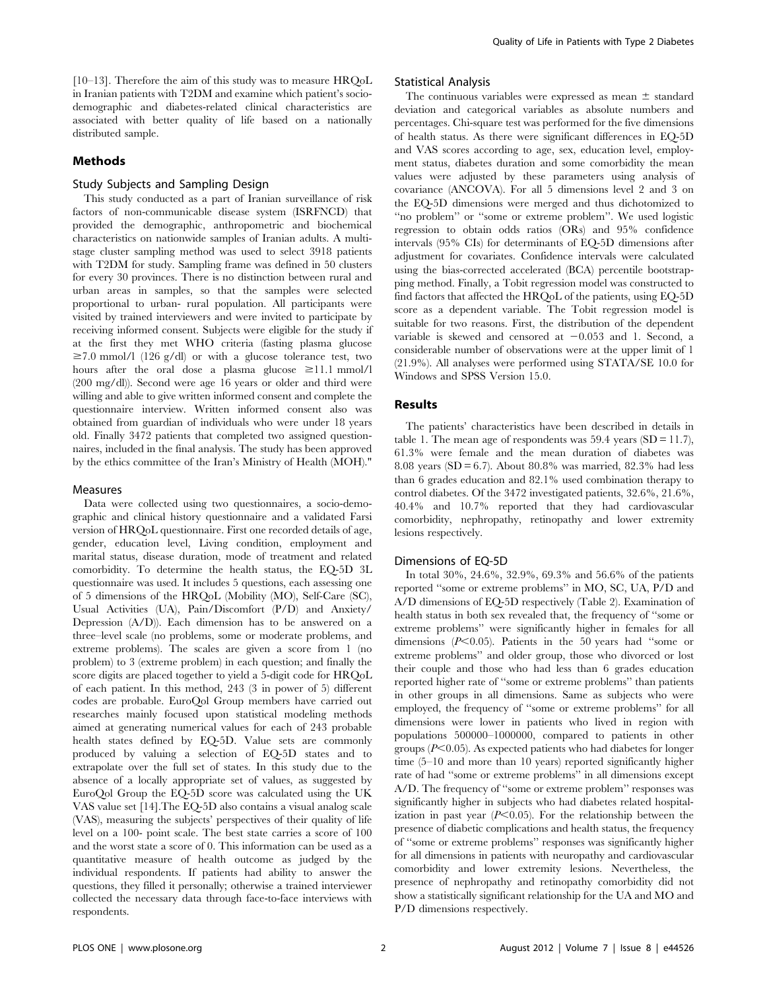[10–13]. Therefore the aim of this study was to measure HRQoL in Iranian patients with T2DM and examine which patient's sociodemographic and diabetes-related clinical characteristics are associated with better quality of life based on a nationally distributed sample.

#### Methods

#### Study Subjects and Sampling Design

This study conducted as a part of Iranian surveillance of risk factors of non-communicable disease system (ISRFNCD) that provided the demographic, anthropometric and biochemical characteristics on nationwide samples of Iranian adults. A multistage cluster sampling method was used to select 3918 patients with T2DM for study. Sampling frame was defined in 50 clusters for every 30 provinces. There is no distinction between rural and urban areas in samples, so that the samples were selected proportional to urban- rural population. All participants were visited by trained interviewers and were invited to participate by receiving informed consent. Subjects were eligible for the study if at the first they met WHO criteria (fasting plasma glucose  $\geq 7.0$  mmol/l (126 g/dl) or with a glucose tolerance test, two hours after the oral dose a plasma glucose  $\geq 11.1$  mmol/l (200 mg/dl)). Second were age 16 years or older and third were willing and able to give written informed consent and complete the questionnaire interview. Written informed consent also was obtained from guardian of individuals who were under 18 years old. Finally 3472 patients that completed two assigned questionnaires, included in the final analysis. The study has been approved by the ethics committee of the Iran's Ministry of Health (MOH)."

#### Measures

Data were collected using two questionnaires, a socio-demographic and clinical history questionnaire and a validated Farsi version of HRQoL questionnaire. First one recorded details of age, gender, education level, Living condition, employment and marital status, disease duration, mode of treatment and related comorbidity. To determine the health status, the EQ-5D 3L questionnaire was used. It includes 5 questions, each assessing one of 5 dimensions of the HRQoL (Mobility (MO), Self-Care (SC), Usual Activities (UA), Pain/Discomfort (P/D) and Anxiety/ Depression (A/D)). Each dimension has to be answered on a three–level scale (no problems, some or moderate problems, and extreme problems). The scales are given a score from 1 (no problem) to 3 (extreme problem) in each question; and finally the score digits are placed together to yield a 5-digit code for HRQoL of each patient. In this method, 243 (3 in power of 5) different codes are probable. EuroQol Group members have carried out researches mainly focused upon statistical modeling methods aimed at generating numerical values for each of 243 probable health states defined by EQ-5D. Value sets are commonly produced by valuing a selection of EQ-5D states and to extrapolate over the full set of states. In this study due to the absence of a locally appropriate set of values, as suggested by EuroQol Group the EQ-5D score was calculated using the UK VAS value set [14].The EQ-5D also contains a visual analog scale (VAS), measuring the subjects' perspectives of their quality of life level on a 100- point scale. The best state carries a score of 100 and the worst state a score of 0. This information can be used as a quantitative measure of health outcome as judged by the individual respondents. If patients had ability to answer the questions, they filled it personally; otherwise a trained interviewer collected the necessary data through face-to-face interviews with respondents.

#### Statistical Analysis

The continuous variables were expressed as mean  $\pm$  standard deviation and categorical variables as absolute numbers and percentages. Chi-square test was performed for the five dimensions of health status. As there were significant differences in EQ-5D and VAS scores according to age, sex, education level, employment status, diabetes duration and some comorbidity the mean values were adjusted by these parameters using analysis of covariance (ANCOVA). For all 5 dimensions level 2 and 3 on the EQ-5D dimensions were merged and thus dichotomized to ''no problem'' or ''some or extreme problem''. We used logistic regression to obtain odds ratios (ORs) and 95% confidence intervals (95% CIs) for determinants of EQ-5D dimensions after adjustment for covariates. Confidence intervals were calculated using the bias-corrected accelerated (BCA) percentile bootstrapping method. Finally, a Tobit regression model was constructed to find factors that affected the HRQoL of the patients, using EQ-5D score as a dependent variable. The Tobit regression model is suitable for two reasons. First, the distribution of the dependent variable is skewed and censored at  $-0.053$  and 1. Second, a considerable number of observations were at the upper limit of 1 (21.9%). All analyses were performed using STATA/SE 10.0 for Windows and SPSS Version 15.0.

#### Results

The patients' characteristics have been described in details in table 1. The mean age of respondents was  $59.4$  years  $(SD = 11.7)$ , 61.3% were female and the mean duration of diabetes was 8.08 years (SD = 6.7). About 80.8% was married, 82.3% had less than 6 grades education and 82.1% used combination therapy to control diabetes. Of the 3472 investigated patients, 32.6%, 21.6%, 40.4% and 10.7% reported that they had cardiovascular comorbidity, nephropathy, retinopathy and lower extremity lesions respectively.

#### Dimensions of EQ-5D

In total 30%, 24.6%, 32.9%, 69.3% and 56.6% of the patients reported ''some or extreme problems'' in MO, SC, UA, P/D and A/D dimensions of EQ-5D respectively (Table 2). Examination of health status in both sex revealed that, the frequency of ''some or extreme problems'' were significantly higher in females for all dimensions  $(P<0.05)$ . Patients in the 50 years had "some or extreme problems'' and older group, those who divorced or lost their couple and those who had less than 6 grades education reported higher rate of ''some or extreme problems'' than patients in other groups in all dimensions. Same as subjects who were employed, the frequency of ''some or extreme problems'' for all dimensions were lower in patients who lived in region with populations 500000–1000000, compared to patients in other groups  $(P<0.05)$ . As expected patients who had diabetes for longer time (5–10 and more than 10 years) reported significantly higher rate of had ''some or extreme problems'' in all dimensions except A/D. The frequency of ''some or extreme problem'' responses was significantly higher in subjects who had diabetes related hospitalization in past year  $(P<0.05)$ . For the relationship between the presence of diabetic complications and health status, the frequency of ''some or extreme problems'' responses was significantly higher for all dimensions in patients with neuropathy and cardiovascular comorbidity and lower extremity lesions. Nevertheless, the presence of nephropathy and retinopathy comorbidity did not show a statistically significant relationship for the UA and MO and P/D dimensions respectively.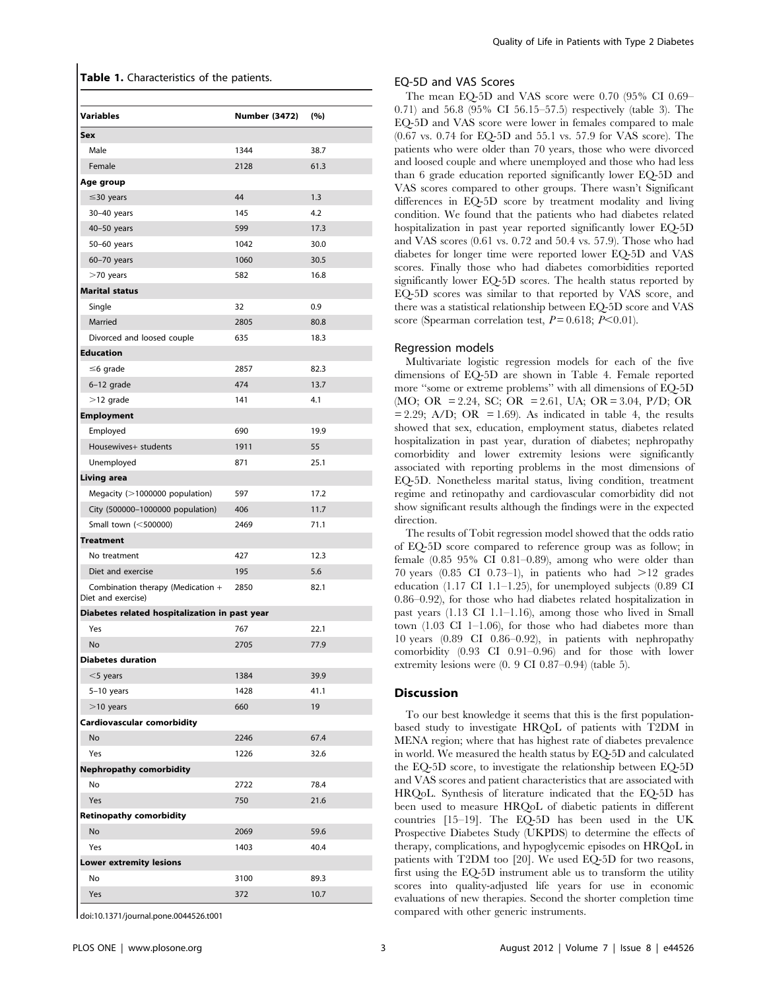|  |  | Table 1. Characteristics of the patients. |  |  |  |
|--|--|-------------------------------------------|--|--|--|
|--|--|-------------------------------------------|--|--|--|

| <b>Variables</b>                                        | Number (3472) | (%)  |
|---------------------------------------------------------|---------------|------|
| Sex                                                     |               |      |
| Male                                                    | 1344          | 38.7 |
| Female                                                  | 2128          | 61.3 |
| Age group                                               |               |      |
| $\leq$ 30 years                                         | 44            | 1.3  |
| 30-40 years                                             | 145           | 4.2  |
| 40-50 years                                             | 599           | 17.3 |
| 50-60 years                                             | 1042          | 30.0 |
| 60-70 years                                             | 1060          | 30.5 |
| $>$ 70 years                                            | 582           | 16.8 |
| <b>Marital status</b>                                   |               |      |
| Single                                                  | 32            | 0.9  |
| Married                                                 | 2805          | 80.8 |
| Divorced and loosed couple                              | 635           | 18.3 |
| <b>Education</b>                                        |               |      |
| $\leq$ 6 grade                                          | 2857          | 82.3 |
| 6-12 grade                                              | 474           | 13.7 |
| $>$ 12 grade                                            | 141           | 4.1  |
| <b>Employment</b>                                       |               |      |
| Employed                                                | 690           | 19.9 |
| Housewives+ students                                    | 1911          | 55   |
| Unemployed                                              | 871           | 25.1 |
| Living area                                             |               |      |
| Megacity (>1000000 population)                          | 597           | 17.2 |
| City (500000-1000000 population)                        | 406           | 11.7 |
| Small town (<500000)                                    | 2469          | 71.1 |
| <b>Treatment</b>                                        |               |      |
| No treatment                                            | 427           | 12.3 |
| Diet and exercise                                       | 195           | 5.6  |
| Combination therapy (Medication +<br>Diet and exercise) | 2850          | 82.1 |
| Diabetes related hospitalization in past year           |               |      |
| Yes                                                     | 767           | 22.1 |
| <b>No</b>                                               | 2705          | 77.9 |
| <b>Diabetes duration</b>                                |               |      |
| $<$ 5 years                                             | 1384          | 39.9 |
| $5-10$ years                                            | 1428          | 41.1 |
| $>$ 10 years                                            | 660           | 19   |
| Cardiovascular comorbidity                              |               |      |
| No                                                      | 2246          | 67.4 |
| Yes                                                     | 1226          | 32.6 |
| <b>Nephropathy comorbidity</b>                          |               |      |
| No                                                      | 2722          | 78.4 |
| Yes                                                     | 750           | 21.6 |
| <b>Retinopathy comorbidity</b>                          |               |      |
| No                                                      | 2069          | 59.6 |
| Yes                                                     | 1403          | 40.4 |
| Lower extremity lesions                                 |               |      |
| No                                                      | 3100          | 89.3 |
| Yes                                                     | 372           | 10.7 |
|                                                         |               |      |

doi:10.1371/journal.pone.0044526.t001

#### EQ-5D and VAS Scores

The mean EQ-5D and VAS score were 0.70 (95% CI 0.69– 0.71) and 56.8 (95% CI 56.15–57.5) respectively (table 3). The EQ-5D and VAS score were lower in females compared to male (0.67 vs. 0.74 for EQ-5D and 55.1 vs. 57.9 for VAS score). The patients who were older than 70 years, those who were divorced and loosed couple and where unemployed and those who had less than 6 grade education reported significantly lower EQ-5D and VAS scores compared to other groups. There wasn't Significant differences in EQ-5D score by treatment modality and living condition. We found that the patients who had diabetes related hospitalization in past year reported significantly lower EQ-5D and VAS scores (0.61 vs. 0.72 and 50.4 vs. 57.9). Those who had diabetes for longer time were reported lower EQ-5D and VAS scores. Finally those who had diabetes comorbidities reported significantly lower EQ-5D scores. The health status reported by EQ-5D scores was similar to that reported by VAS score, and there was a statistical relationship between EQ-5D score and VAS score (Spearman correlation test,  $P = 0.618$ ;  $P < 0.01$ ).

#### Regression models

Multivariate logistic regression models for each of the five dimensions of EQ-5D are shown in Table 4. Female reported more "some or extreme problems" with all dimensions of EQ-5D (MO; OR = 2.24, SC; OR = 2.61, UA; OR = 3.04, P/D; OR  $= 2.29$ ; A/D; OR  $= 1.69$ ). As indicated in table 4, the results showed that sex, education, employment status, diabetes related hospitalization in past year, duration of diabetes; nephropathy comorbidity and lower extremity lesions were significantly associated with reporting problems in the most dimensions of EQ-5D. Nonetheless marital status, living condition, treatment regime and retinopathy and cardiovascular comorbidity did not show significant results although the findings were in the expected direction.

The results of Tobit regression model showed that the odds ratio of EQ-5D score compared to reference group was as follow; in female (0.85 95% CI 0.81–0.89), among who were older than 70 years (0.85 CI 0.73–1), in patients who had  $>12$  grades education (1.17 CI 1.1–1.25), for unemployed subjects (0.89 CI 0.86–0.92), for those who had diabetes related hospitalization in past years (1.13 CI 1.1–1.16), among those who lived in Small town (1.03 CI 1–1.06), for those who had diabetes more than 10 years (0.89 CI 0.86–0.92), in patients with nephropathy comorbidity (0.93 CI 0.91–0.96) and for those with lower extremity lesions were (0. 9 CI 0.87–0.94) (table 5).

#### **Discussion**

To our best knowledge it seems that this is the first populationbased study to investigate HRQoL of patients with T2DM in MENA region; where that has highest rate of diabetes prevalence in world. We measured the health status by EQ-5D and calculated the EQ-5D score, to investigate the relationship between EQ-5D and VAS scores and patient characteristics that are associated with HRQoL. Synthesis of literature indicated that the EQ-5D has been used to measure HRQoL of diabetic patients in different countries [15–19]. The EQ-5D has been used in the UK Prospective Diabetes Study (UKPDS) to determine the effects of therapy, complications, and hypoglycemic episodes on HRQoL in patients with T2DM too [20]. We used EQ-5D for two reasons, first using the EQ-5D instrument able us to transform the utility scores into quality-adjusted life years for use in economic evaluations of new therapies. Second the shorter completion time compared with other generic instruments.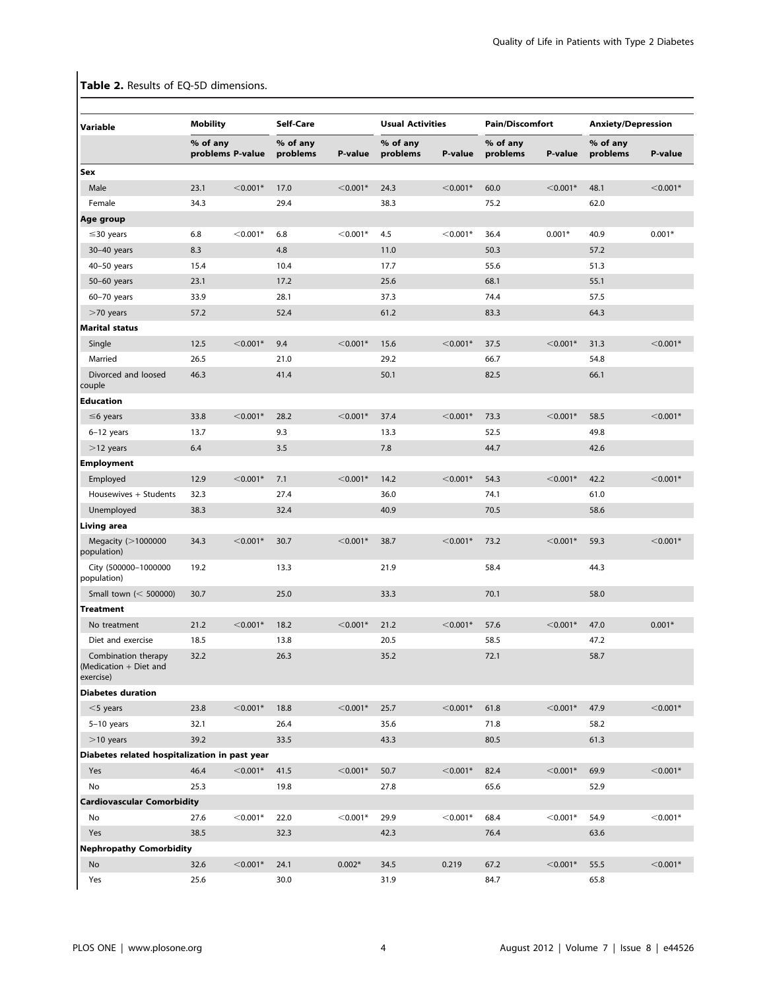# Table 2. Results of EQ-5D dimensions.

| Variable                                                     | <b>Mobility</b>              |            | Self-Care            |            | <b>Usual Activities</b> |            | <b>Pain/Discomfort</b> |            | <b>Anxiety/Depression</b> |            |
|--------------------------------------------------------------|------------------------------|------------|----------------------|------------|-------------------------|------------|------------------------|------------|---------------------------|------------|
|                                                              | % of any<br>problems P-value |            | % of any<br>problems | P-value    | % of any<br>problems    | P-value    | % of any<br>problems   | P-value    | % of any<br>problems      | P-value    |
| Sex                                                          |                              |            |                      |            |                         |            |                        |            |                           |            |
| Male                                                         | 23.1                         | $<$ 0.001* | 17.0                 | $< 0.001*$ | 24.3                    | $<$ 0.001* | 60.0                   | $< 0.001*$ | 48.1                      | $<$ 0.001* |
| Female                                                       | 34.3                         |            | 29.4                 |            | 38.3                    |            | 75.2                   |            | 62.0                      |            |
| Age group                                                    |                              |            |                      |            |                         |            |                        |            |                           |            |
| $\leq$ 30 years                                              | 6.8                          | $< 0.001*$ | 6.8                  | $< 0.001*$ | 4.5                     | $< 0.001*$ | 36.4                   | $0.001*$   | 40.9                      | $0.001*$   |
| 30-40 years                                                  | 8.3                          |            | 4.8                  |            | 11.0                    |            | 50.3                   |            | 57.2                      |            |
| $40-50$ years                                                | 15.4                         |            | 10.4                 |            | 17.7                    |            | 55.6                   |            | 51.3                      |            |
| 50-60 years                                                  | 23.1                         |            | 17.2                 |            | 25.6                    |            | 68.1                   |            | 55.1                      |            |
| $60-70$ years                                                | 33.9                         |            | 28.1                 |            | 37.3                    |            | 74.4                   |            | 57.5                      |            |
| $>$ 70 years                                                 | 57.2                         |            | 52.4                 |            | 61.2                    |            | 83.3                   |            | 64.3                      |            |
| <b>Marital status</b>                                        |                              |            |                      |            |                         |            |                        |            |                           |            |
| Single                                                       | 12.5                         | $<$ 0.001* | 9.4                  | $< 0.001*$ | 15.6                    | $< 0.001*$ | 37.5                   | $<$ 0.001* | 31.3                      | $<$ 0.001* |
| Married                                                      | 26.5                         |            | 21.0                 |            | 29.2                    |            | 66.7                   |            | 54.8                      |            |
| Divorced and loosed<br>couple                                | 46.3                         |            | 41.4                 |            | 50.1                    |            | 82.5                   |            | 66.1                      |            |
| <b>Education</b>                                             |                              |            |                      |            |                         |            |                        |            |                           |            |
| $\leq$ 6 years                                               | 33.8                         | $<$ 0.001* | 28.2                 | $< 0.001*$ | 37.4                    | $<$ 0.001* | 73.3                   | $<$ 0.001* | 58.5                      | $<$ 0.001* |
| 6-12 years                                                   | 13.7                         |            | 9.3                  |            | 13.3                    |            | 52.5                   |            | 49.8                      |            |
| $>$ 12 years                                                 | 6.4                          |            | 3.5                  |            | 7.8                     |            | 44.7                   |            | 42.6                      |            |
| <b>Employment</b>                                            |                              |            |                      |            |                         |            |                        |            |                           |            |
| Employed                                                     | 12.9                         | $<$ 0.001* | 7.1                  | $< 0.001*$ | 14.2                    | $<$ 0.001* | 54.3                   | $<$ 0.001* | 42.2                      | $<$ 0.001* |
| Housewives + Students                                        | 32.3                         |            | 27.4                 |            | 36.0                    |            | 74.1                   |            | 61.0                      |            |
| Unemployed                                                   | 38.3                         |            | 32.4                 |            | 40.9                    |            | 70.5                   |            | 58.6                      |            |
| Living area                                                  |                              |            |                      |            |                         |            |                        |            |                           |            |
| Megacity $(>1000000$<br>population)                          | 34.3                         | $<$ 0.001* | 30.7                 | $< 0.001*$ | 38.7                    | $< 0.001*$ | 73.2                   | $<$ 0.001* | 59.3                      | $<$ 0.001* |
| City (500000-1000000<br>population)                          | 19.2                         |            | 13.3                 |            | 21.9                    |            | 58.4                   |            | 44.3                      |            |
| Small town $(<$ 500000)                                      | 30.7                         |            | 25.0                 |            | 33.3                    |            | 70.1                   |            | 58.0                      |            |
| <b>Treatment</b>                                             |                              |            |                      |            |                         |            |                        |            |                           |            |
| No treatment                                                 | 21.2                         | $<$ 0.001* | 18.2                 | $< 0.001*$ | 21.2                    | $< 0.001*$ | 57.6                   | $<$ 0.001* | 47.0                      | $0.001*$   |
| Diet and exercise                                            | 18.5                         |            | 13.8                 |            | 20.5                    |            | 58.5                   |            | 47.2                      |            |
| Combination therapy<br>(Medication $+$ Diet and<br>exercise) | 32.2                         |            | 26.3                 |            | 35.2                    |            | 72.1                   |            | 58.7                      |            |
| <b>Diabetes duration</b>                                     |                              |            |                      |            |                         |            |                        |            |                           |            |
| $<$ 5 years                                                  | 23.8                         | $<$ 0.001* | 18.8                 | $<$ 0.001* | 25.7                    | $<$ 0.001* | 61.8                   | $<$ 0.001* | 47.9                      | $<$ 0.001* |
| 5-10 years                                                   | 32.1                         |            | 26.4                 |            | 35.6                    |            | 71.8                   |            | 58.2                      |            |
| $>10$ years                                                  | 39.2                         |            | 33.5                 |            | 43.3                    |            | 80.5                   |            | 61.3                      |            |
| Diabetes related hospitalization in past year                |                              |            |                      |            |                         |            |                        |            |                           |            |
| Yes                                                          | 46.4                         | $<$ 0.001* | 41.5                 | $< 0.001*$ | 50.7                    | $< 0.001*$ | 82.4                   | $<$ 0.001* | 69.9                      | $<$ 0.001* |
| No                                                           | 25.3                         |            | 19.8                 |            | 27.8                    |            | 65.6                   |            | 52.9                      |            |
| <b>Cardiovascular Comorbidity</b>                            |                              |            |                      |            |                         |            |                        |            |                           |            |
| No                                                           | 27.6                         | $<$ 0.001* | 22.0                 | $<$ 0.001* | 29.9                    | $< 0.001*$ | 68.4                   | $<$ 0.001* | 54.9                      | $<$ 0.001* |
|                                                              |                              |            |                      |            |                         |            |                        |            |                           |            |
| Yes                                                          | 38.5                         |            | 32.3                 |            | 42.3                    |            | 76.4                   |            | 63.6                      |            |
| <b>Nephropathy Comorbidity</b>                               |                              |            |                      |            |                         |            |                        |            |                           |            |
| No                                                           | 32.6                         | $<$ 0.001* | 24.1                 | $0.002*$   | 34.5                    | 0.219      | 67.2                   | $<$ 0.001* | 55.5                      | $< 0.001*$ |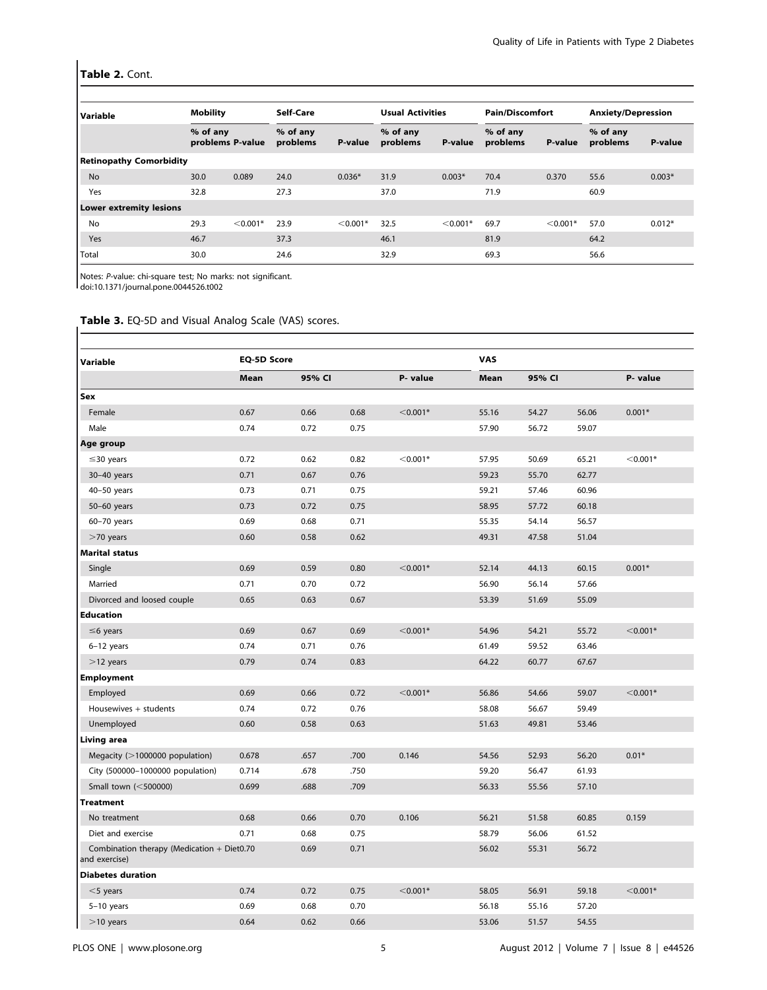### Table 2. Cont.

| Variable                       |          | <b>Mobility</b>  |                      | Self-Care  |                      | <b>Usual Activities</b> |                      | <b>Pain/Discomfort</b> |                      | <b>Anxiety/Depression</b> |
|--------------------------------|----------|------------------|----------------------|------------|----------------------|-------------------------|----------------------|------------------------|----------------------|---------------------------|
|                                | % of any | problems P-value | % of any<br>problems | P-value    | % of any<br>problems | P-value                 | % of any<br>problems | P-value                | % of any<br>problems | P-value                   |
| <b>Retinopathy Comorbidity</b> |          |                  |                      |            |                      |                         |                      |                        |                      |                           |
| <b>No</b>                      | 30.0     | 0.089            | 24.0                 | $0.036*$   | 31.9                 | $0.003*$                | 70.4                 | 0.370                  | 55.6                 | $0.003*$                  |
| Yes                            | 32.8     |                  | 27.3                 |            | 37.0                 |                         | 71.9                 |                        | 60.9                 |                           |
| <b>Lower extremity lesions</b> |          |                  |                      |            |                      |                         |                      |                        |                      |                           |
| No                             | 29.3     | $< 0.001*$       | 23.9                 | $< 0.001*$ | 32.5                 | $< 0.001*$              | 69.7                 | $< 0.001*$             | 57.0                 | $0.012*$                  |
| Yes                            | 46.7     |                  | 37.3                 |            | 46.1                 |                         | 81.9                 |                        | 64.2                 |                           |
| Total                          | 30.0     |                  | 24.6                 |            | 32.9                 |                         | 69.3                 |                        | 56.6                 |                           |

Notes: P-value: chi-square test; No marks: not significant.

doi:10.1371/journal.pone.0044526.t002

# Table 3. EQ-5D and Visual Analog Scale (VAS) scores.<br>  $\left| \begin{array}{c} \begin{array}{c} \end{array} \right|$

| Variable                                                    | <b>EQ-5D Score</b> |      |      |            | <b>VAS</b> |        |       |            |
|-------------------------------------------------------------|--------------------|------|------|------------|------------|--------|-------|------------|
|                                                             | 95% CI<br>Mean     |      |      | P- value   | Mean       | 95% CI |       | P- value   |
| Sex                                                         |                    |      |      |            |            |        |       |            |
| Female                                                      | 0.67               | 0.66 | 0.68 | $< 0.001*$ | 55.16      | 54.27  | 56.06 | $0.001*$   |
| Male                                                        | 0.74               | 0.72 | 0.75 |            | 57.90      | 56.72  | 59.07 |            |
| Age group                                                   |                    |      |      |            |            |        |       |            |
| $\leq$ 30 years                                             | 0.72               | 0.62 | 0.82 | $<$ 0.001* | 57.95      | 50.69  | 65.21 | $< 0.001*$ |
| 30-40 years                                                 | 0.71               | 0.67 | 0.76 |            | 59.23      | 55.70  | 62.77 |            |
| $40-50$ years                                               | 0.73               | 0.71 | 0.75 |            | 59.21      | 57.46  | 60.96 |            |
| 50-60 years                                                 | 0.73               | 0.72 | 0.75 |            | 58.95      | 57.72  | 60.18 |            |
| 60-70 years                                                 | 0.69               | 0.68 | 0.71 |            | 55.35      | 54.14  | 56.57 |            |
| $>70$ years                                                 | 0.60               | 0.58 | 0.62 |            | 49.31      | 47.58  | 51.04 |            |
| <b>Marital status</b>                                       |                    |      |      |            |            |        |       |            |
| Single                                                      | 0.69               | 0.59 | 0.80 | $<$ 0.001* | 52.14      | 44.13  | 60.15 | $0.001*$   |
| Married                                                     | 0.71               | 0.70 | 0.72 |            | 56.90      | 56.14  | 57.66 |            |
| Divorced and loosed couple                                  | 0.65               | 0.63 | 0.67 |            | 53.39      | 51.69  | 55.09 |            |
| <b>Education</b>                                            |                    |      |      |            |            |        |       |            |
| $\leq$ 6 years                                              | 0.69               | 0.67 | 0.69 | $<$ 0.001* | 54.96      | 54.21  | 55.72 | $< 0.001*$ |
| $6-12$ years                                                | 0.74               | 0.71 | 0.76 |            | 61.49      | 59.52  | 63.46 |            |
| $>12$ years                                                 | 0.79               | 0.74 | 0.83 |            | 64.22      | 60.77  | 67.67 |            |
| <b>Employment</b>                                           |                    |      |      |            |            |        |       |            |
| Employed                                                    | 0.69               | 0.66 | 0.72 | $<$ 0.001* | 56.86      | 54.66  | 59.07 | $<$ 0.001* |
| Housewives + students                                       | 0.74               | 0.72 | 0.76 |            | 58.08      | 56.67  | 59.49 |            |
| Unemployed                                                  | 0.60               | 0.58 | 0.63 |            | 51.63      | 49.81  | 53.46 |            |
| Living area                                                 |                    |      |      |            |            |        |       |            |
| Megacity (>1000000 population)                              | 0.678              | .657 | .700 | 0.146      | 54.56      | 52.93  | 56.20 | $0.01*$    |
| City (500000-1000000 population)                            | 0.714              | .678 | .750 |            | 59.20      | 56.47  | 61.93 |            |
| Small town (<500000)                                        | 0.699              | .688 | .709 |            | 56.33      | 55.56  | 57.10 |            |
| <b>Treatment</b>                                            |                    |      |      |            |            |        |       |            |
| No treatment                                                | 0.68               | 0.66 | 0.70 | 0.106      | 56.21      | 51.58  | 60.85 | 0.159      |
| Diet and exercise                                           | 0.71               | 0.68 | 0.75 |            | 58.79      | 56.06  | 61.52 |            |
| Combination therapy (Medication + Diet0.70<br>and exercise) |                    | 0.69 | 0.71 |            | 56.02      | 55.31  | 56.72 |            |
| <b>Diabetes duration</b>                                    |                    |      |      |            |            |        |       |            |
| $<$ 5 years                                                 | 0.74               | 0.72 | 0.75 | $<$ 0.001* | 58.05      | 56.91  | 59.18 | $<$ 0.001* |
| $5-10$ years                                                | 0.69               | 0.68 | 0.70 |            | 56.18      | 55.16  | 57.20 |            |
| $>$ 10 years                                                | 0.64               | 0.62 | 0.66 |            | 53.06      | 51.57  | 54.55 |            |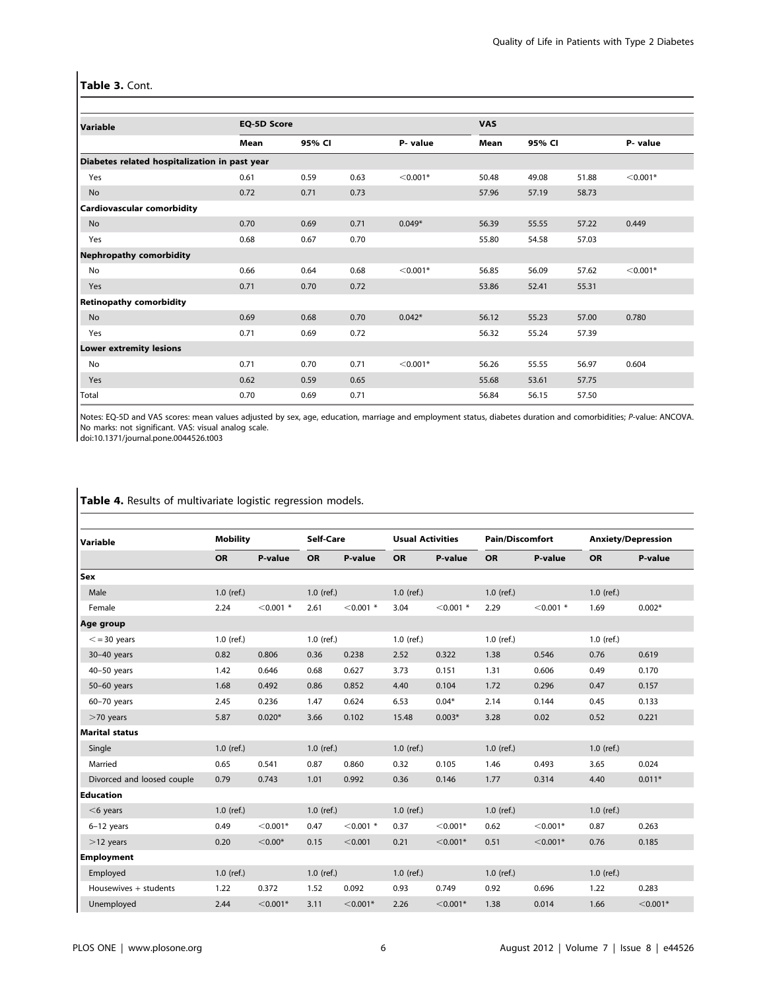## Table 3. Cont.

| Variable                                      | <b>EQ-5D Score</b> |        |      |            | <b>VAS</b> |        |       |            |
|-----------------------------------------------|--------------------|--------|------|------------|------------|--------|-------|------------|
|                                               | Mean               | 95% CI |      | P- value   | Mean       | 95% CI |       | P-value    |
| Diabetes related hospitalization in past year |                    |        |      |            |            |        |       |            |
| Yes                                           | 0.61               | 0.59   | 0.63 | $< 0.001*$ | 50.48      | 49.08  | 51.88 | $< 0.001*$ |
| <b>No</b>                                     | 0.72               | 0.71   | 0.73 |            | 57.96      | 57.19  | 58.73 |            |
| <b>Cardiovascular comorbidity</b>             |                    |        |      |            |            |        |       |            |
| No                                            | 0.70               | 0.69   | 0.71 | $0.049*$   | 56.39      | 55.55  | 57.22 | 0.449      |
| Yes                                           | 0.68               | 0.67   | 0.70 |            | 55.80      | 54.58  | 57.03 |            |
| <b>Nephropathy comorbidity</b>                |                    |        |      |            |            |        |       |            |
| <b>No</b>                                     | 0.66               | 0.64   | 0.68 | $< 0.001*$ | 56.85      | 56.09  | 57.62 | $<$ 0.001* |
| Yes                                           | 0.71               | 0.70   | 0.72 |            | 53.86      | 52.41  | 55.31 |            |
| <b>Retinopathy comorbidity</b>                |                    |        |      |            |            |        |       |            |
| No                                            | 0.69               | 0.68   | 0.70 | $0.042*$   | 56.12      | 55.23  | 57.00 | 0.780      |
| Yes                                           | 0.71               | 0.69   | 0.72 |            | 56.32      | 55.24  | 57.39 |            |
| <b>Lower extremity lesions</b>                |                    |        |      |            |            |        |       |            |
| No                                            | 0.71               | 0.70   | 0.71 | $< 0.001*$ | 56.26      | 55.55  | 56.97 | 0.604      |
| Yes                                           | 0.62               | 0.59   | 0.65 |            | 55.68      | 53.61  | 57.75 |            |
| Total                                         | 0.70               | 0.69   | 0.71 |            | 56.84      | 56.15  | 57.50 |            |

Notes: EQ-5D and VAS scores: mean values adjusted by sex, age, education, marriage and employment status, diabetes duration and comorbidities; P-value: ANCOVA. No marks: not significant. VAS: visual analog scale.

doi:10.1371/journal.pone.0044526.t003

| Variable                   |              | <b>Mobility</b> |              | Self-Care   | <b>Usual Activities</b> |             | <b>Pain/Discomfort</b> |             |              | <b>Anxiety/Depression</b> |
|----------------------------|--------------|-----------------|--------------|-------------|-------------------------|-------------|------------------------|-------------|--------------|---------------------------|
|                            | <b>OR</b>    | P-value         | <b>OR</b>    | P-value     | <b>OR</b>               | P-value     | <b>OR</b>              | P-value     | <b>OR</b>    | P-value                   |
| Sex                        |              |                 |              |             |                         |             |                        |             |              |                           |
| Male                       | $1.0$ (ref.) |                 | $1.0$ (ref.) |             | $1.0$ (ref.)            |             | $1.0$ (ref.)           |             | $1.0$ (ref.) |                           |
| Female                     | 2.24         | $< 0.001$ *     | 2.61         | $< 0.001$ * | 3.04                    | $< 0.001$ * | 2.29                   | $< 0.001$ * | 1.69         | $0.002*$                  |
| Age group                  |              |                 |              |             |                         |             |                        |             |              |                           |
| $\leq$ = 30 years          | $1.0$ (ref.) |                 | $1.0$ (ref.) |             | $1.0$ (ref.)            |             | $1.0$ (ref.)           |             | $1.0$ (ref.) |                           |
| $30-40$ years              | 0.82         | 0.806           | 0.36         | 0.238       | 2.52                    | 0.322       | 1.38                   | 0.546       | 0.76         | 0.619                     |
| $40-50$ years              | 1.42         | 0.646           | 0.68         | 0.627       | 3.73                    | 0.151       | 1.31                   | 0.606       | 0.49         | 0.170                     |
| 50-60 years                | 1.68         | 0.492           | 0.86         | 0.852       | 4.40                    | 0.104       | 1.72                   | 0.296       | 0.47         | 0.157                     |
| $60-70$ years              | 2.45         | 0.236           | 1.47         | 0.624       | 6.53                    | $0.04*$     | 2.14                   | 0.144       | 0.45         | 0.133                     |
| $>70$ years                | 5.87         | $0.020*$        | 3.66         | 0.102       | 15.48                   | $0.003*$    | 3.28                   | 0.02        | 0.52         | 0.221                     |
| <b>Marital status</b>      |              |                 |              |             |                         |             |                        |             |              |                           |
| Single                     | $1.0$ (ref.) |                 | $1.0$ (ref.) |             | $1.0$ (ref.)            |             | $1.0$ (ref.)           |             | $1.0$ (ref.) |                           |
| Married                    | 0.65         | 0.541           | 0.87         | 0.860       | 0.32                    | 0.105       | 1.46                   | 0.493       | 3.65         | 0.024                     |
| Divorced and loosed couple | 0.79         | 0.743           | 1.01         | 0.992       | 0.36                    | 0.146       | 1.77                   | 0.314       | 4.40         | $0.011*$                  |
| <b>Education</b>           |              |                 |              |             |                         |             |                        |             |              |                           |
| $<$ 6 years                | $1.0$ (ref.) |                 | $1.0$ (ref.) |             | $1.0$ (ref.)            |             | $1.0$ (ref.)           |             | $1.0$ (ref.) |                           |
| $6-12$ years               | 0.49         | $< 0.001*$      | 0.47         | $< 0.001$ * | 0.37                    | $< 0.001*$  | 0.62                   | $< 0.001*$  | 0.87         | 0.263                     |
| $>12$ years                | 0.20         | $< 0.00*$       | 0.15         | < 0.001     | 0.21                    | $< 0.001*$  | 0.51                   | $< 0.001*$  | 0.76         | 0.185                     |
| Employment                 |              |                 |              |             |                         |             |                        |             |              |                           |
| Employed                   | $1.0$ (ref.) |                 | $1.0$ (ref.) |             | $1.0$ (ref.)            |             | $1.0$ (ref.)           |             | $1.0$ (ref.) |                           |
| Housewives + students      | 1.22         | 0.372           | 1.52         | 0.092       | 0.93                    | 0.749       | 0.92                   | 0.696       | 1.22         | 0.283                     |
| Unemployed                 | 2.44         | $< 0.001*$      | 3.11         | $<$ 0.001*  | 2.26                    | $<$ 0.001*  | 1.38                   | 0.014       | 1.66         | $< 0.001*$                |

Table 4. Results of multivariate logistic regression models.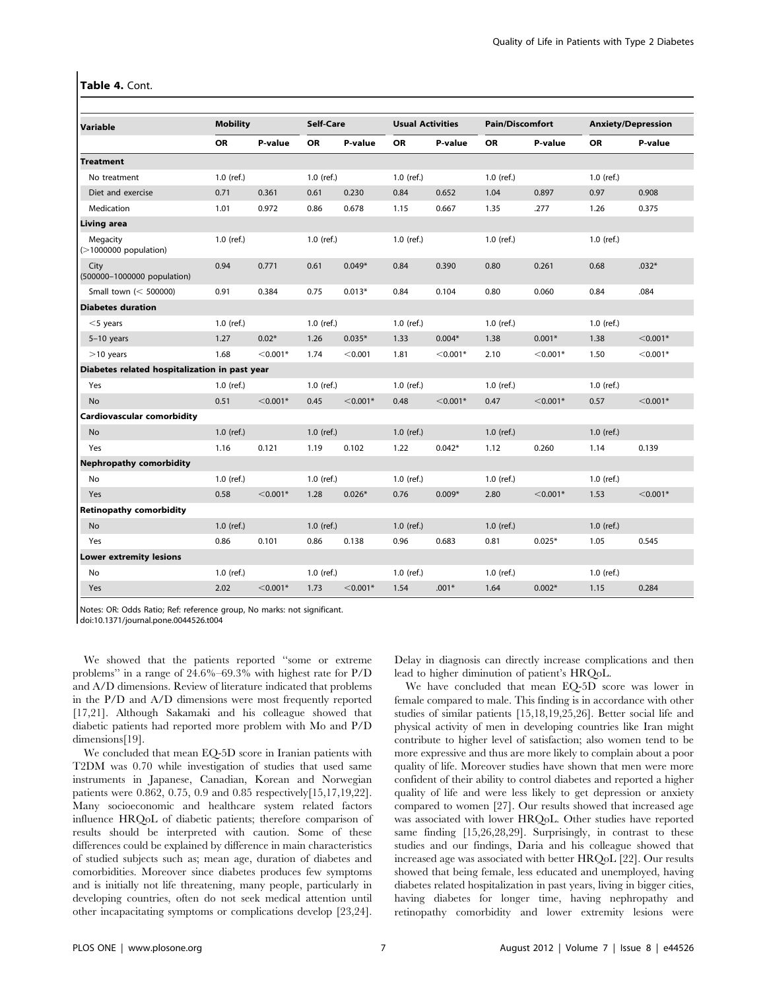#### Table 4. Cont.

| Variable                                      | <b>Mobility</b> |            |              | Self-Care  |              | <b>Usual Activities</b> | <b>Pain/Discomfort</b> |            |              | <b>Anxiety/Depression</b> |
|-----------------------------------------------|-----------------|------------|--------------|------------|--------------|-------------------------|------------------------|------------|--------------|---------------------------|
|                                               | <b>OR</b>       | P-value    | <b>OR</b>    | P-value    | <b>OR</b>    | P-value                 | <b>OR</b>              | P-value    | <b>OR</b>    | P-value                   |
| <b>Treatment</b>                              |                 |            |              |            |              |                         |                        |            |              |                           |
| No treatment                                  | $1.0$ (ref.)    |            | $1.0$ (ref.) |            | $1.0$ (ref.) |                         | $1.0$ (ref.)           |            | $1.0$ (ref.) |                           |
| Diet and exercise                             | 0.71            | 0.361      | 0.61         | 0.230      | 0.84         | 0.652                   | 1.04                   | 0.897      | 0.97         | 0.908                     |
| Medication                                    | 1.01            | 0.972      | 0.86         | 0.678      | 1.15         | 0.667                   | 1.35                   | .277       | 1.26         | 0.375                     |
| <b>Living area</b>                            |                 |            |              |            |              |                         |                        |            |              |                           |
| Megacity<br>$($ >1000000 population)          | $1.0$ (ref.)    |            | 1.0 (ref.)   |            | $1.0$ (ref.) |                         | $1.0$ (ref.)           |            | $1.0$ (ref.) |                           |
| City<br>(500000-1000000 population)           | 0.94            | 0.771      | 0.61         | $0.049*$   | 0.84         | 0.390                   | 0.80                   | 0.261      | 0.68         | $.032*$                   |
| Small town (< 500000)                         | 0.91            | 0.384      | 0.75         | $0.013*$   | 0.84         | 0.104                   | 0.80                   | 0.060      | 0.84         | .084                      |
| <b>Diabetes duration</b>                      |                 |            |              |            |              |                         |                        |            |              |                           |
| $<$ 5 years                                   | $1.0$ (ref.)    |            | $1.0$ (ref.) |            | $1.0$ (ref.) |                         | $1.0$ (ref.)           |            | $1.0$ (ref.) |                           |
| $5-10$ years                                  | 1.27            | $0.02*$    | 1.26         | $0.035*$   | 1.33         | $0.004*$                | 1.38                   | $0.001*$   | 1.38         | $<$ 0.001*                |
| $>10$ years                                   | 1.68            | $< 0.001*$ | 1.74         | < 0.001    | 1.81         | $<$ 0.001*              | 2.10                   | $<$ 0.001* | 1.50         | $< 0.001*$                |
| Diabetes related hospitalization in past year |                 |            |              |            |              |                         |                        |            |              |                           |
| Yes                                           | $1.0$ (ref.)    |            | $1.0$ (ref.) |            | $1.0$ (ref.) |                         | $1.0$ (ref.)           |            | $1.0$ (ref.) |                           |
| <b>No</b>                                     | 0.51            | $< 0.001*$ | 0.45         | $< 0.001*$ | 0.48         | $< 0.001*$              | 0.47                   | $< 0.001*$ | 0.57         | $< 0.001*$                |
| Cardiovascular comorbidity                    |                 |            |              |            |              |                         |                        |            |              |                           |
| <b>No</b>                                     | $1.0$ (ref.)    |            | $1.0$ (ref.) |            | $1.0$ (ref.) |                         | $1.0$ (ref.)           |            | $1.0$ (ref.) |                           |
| Yes                                           | 1.16            | 0.121      | 1.19         | 0.102      | 1.22         | $0.042*$                | 1.12                   | 0.260      | 1.14         | 0.139                     |
| <b>Nephropathy comorbidity</b>                |                 |            |              |            |              |                         |                        |            |              |                           |
| No                                            | $1.0$ (ref.)    |            | $1.0$ (ref.) |            | $1.0$ (ref.) |                         | $1.0$ (ref.)           |            | $1.0$ (ref.) |                           |
| Yes                                           | 0.58            | $< 0.001*$ | 1.28         | $0.026*$   | 0.76         | $0.009*$                | 2.80                   | $< 0.001*$ | 1.53         | $< 0.001*$                |
| <b>Retinopathy comorbidity</b>                |                 |            |              |            |              |                         |                        |            |              |                           |
| <b>No</b>                                     | $1.0$ (ref.)    |            | $1.0$ (ref.) |            | $1.0$ (ref.) |                         | $1.0$ (ref.)           |            | $1.0$ (ref.) |                           |
| Yes                                           | 0.86            | 0.101      | 0.86         | 0.138      | 0.96         | 0.683                   | 0.81                   | $0.025*$   | 1.05         | 0.545                     |
| <b>Lower extremity lesions</b>                |                 |            |              |            |              |                         |                        |            |              |                           |
| No                                            | $1.0$ (ref.)    |            | $1.0$ (ref.) |            | $1.0$ (ref.) |                         | $1.0$ (ref.)           |            | $1.0$ (ref.) |                           |
| Yes                                           | 2.02            | $< 0.001*$ | 1.73         | $<$ 0.001* | 1.54         | $.001*$                 | 1.64                   | $0.002*$   | 1.15         | 0.284                     |

Notes: OR: Odds Ratio; Ref: reference group, No marks: not significant.

doi:10.1371/journal.pone.0044526.t004

We showed that the patients reported ''some or extreme problems'' in a range of 24.6%–69.3% with highest rate for P/D and A/D dimensions. Review of literature indicated that problems in the P/D and A/D dimensions were most frequently reported [17,21]. Although Sakamaki and his colleague showed that diabetic patients had reported more problem with Mo and P/D dimensions[19].

We concluded that mean EQ-5D score in Iranian patients with T2DM was 0.70 while investigation of studies that used same instruments in Japanese, Canadian, Korean and Norwegian patients were 0.862, 0.75, 0.9 and 0.85 respectively[15,17,19,22]. Many socioeconomic and healthcare system related factors influence HRQoL of diabetic patients; therefore comparison of results should be interpreted with caution. Some of these differences could be explained by difference in main characteristics of studied subjects such as; mean age, duration of diabetes and comorbidities. Moreover since diabetes produces few symptoms and is initially not life threatening, many people, particularly in developing countries, often do not seek medical attention until other incapacitating symptoms or complications develop [23,24].

Delay in diagnosis can directly increase complications and then lead to higher diminution of patient's HRQoL.

We have concluded that mean EQ-5D score was lower in female compared to male. This finding is in accordance with other studies of similar patients [15,18,19,25,26]. Better social life and physical activity of men in developing countries like Iran might contribute to higher level of satisfaction; also women tend to be more expressive and thus are more likely to complain about a poor quality of life. Moreover studies have shown that men were more confident of their ability to control diabetes and reported a higher quality of life and were less likely to get depression or anxiety compared to women [27]. Our results showed that increased age was associated with lower HRQoL. Other studies have reported same finding [15,26,28,29]. Surprisingly, in contrast to these studies and our findings, Daria and his colleague showed that increased age was associated with better HRQoL [22]. Our results showed that being female, less educated and unemployed, having diabetes related hospitalization in past years, living in bigger cities, having diabetes for longer time, having nephropathy and retinopathy comorbidity and lower extremity lesions were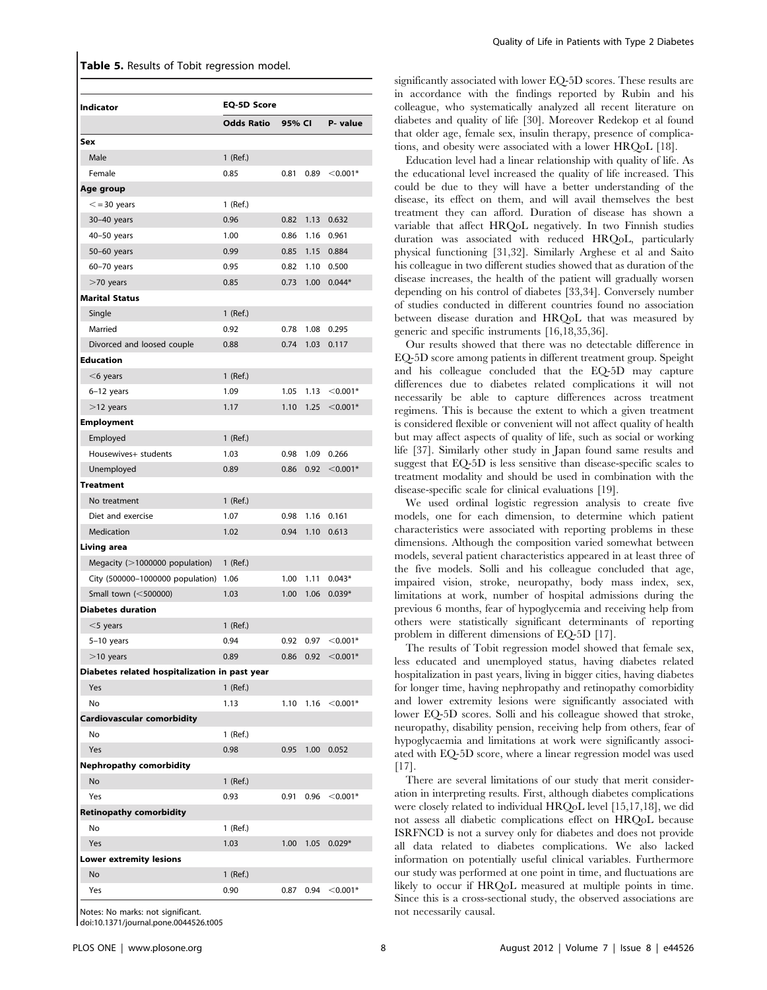|  |  |  |  |  | Table 5. Results of Tobit regression model. |  |
|--|--|--|--|--|---------------------------------------------|--|
|--|--|--|--|--|---------------------------------------------|--|

| Indicator                                     | <b>EQ-5D Score</b> |                   |                   |                        |  |  |  |
|-----------------------------------------------|--------------------|-------------------|-------------------|------------------------|--|--|--|
|                                               | <b>Odds Ratio</b>  | 95% CI            |                   | P- value               |  |  |  |
|                                               |                    |                   |                   |                        |  |  |  |
| Sex<br>Male                                   | 1 (Ref.)           |                   |                   |                        |  |  |  |
| Female                                        | 0.85               | 0.81              | 0.89              |                        |  |  |  |
|                                               |                    |                   |                   | $<$ 0.001*             |  |  |  |
| Age group                                     |                    |                   |                   |                        |  |  |  |
| $\le$ = 30 years                              | $1$ (Ref.)         |                   |                   |                        |  |  |  |
| 30-40 years                                   | 0.96               | 0.82              | 1.13              | 0.632                  |  |  |  |
| 40-50 years                                   | 1.00               | 0.86              | 1.16              | 0.961                  |  |  |  |
| 50-60 years                                   | 0.99               | 0.85              | 1.15              | 0.884                  |  |  |  |
| 60-70 years                                   | 0.95               | 0.82              | 1.10              | 0.500                  |  |  |  |
| $>$ 70 years                                  | 0.85               | 0.73              | 1.00 <sub>1</sub> | $0.044*$               |  |  |  |
| <b>Marital Status</b>                         |                    |                   |                   |                        |  |  |  |
| Single                                        | 1 (Ref.)           |                   |                   |                        |  |  |  |
| Married                                       | 0.92               | 0.78              | 1.08              | 0.295                  |  |  |  |
| Divorced and loosed couple                    | 0.88               | 0.74              | 1.03              | 0.117                  |  |  |  |
| <b>Education</b>                              |                    |                   |                   |                        |  |  |  |
| $<$ 6 years                                   | 1 (Ref.)           |                   |                   |                        |  |  |  |
| $6-12$ years                                  | 1.09               | 1.05              | 1.13              | $<$ 0.001*             |  |  |  |
| $>$ 12 years                                  | 1.17               | 1.10              | 1.25              | $<$ 0.001*             |  |  |  |
| <b>Employment</b>                             |                    |                   |                   |                        |  |  |  |
| Employed                                      | 1 (Ref.)           |                   |                   |                        |  |  |  |
| Housewives+ students                          | 1.03               | 0.98              | 1.09              | 0.266                  |  |  |  |
| Unemployed                                    | 0.89               | 0.86              | 0.92              | $< 0.001*$             |  |  |  |
| <b>Treatment</b>                              |                    |                   |                   |                        |  |  |  |
| No treatment                                  | $1$ (Ref.)         |                   |                   |                        |  |  |  |
| Diet and exercise                             | 1.07               | 0.98              | 1.16              | 0.161                  |  |  |  |
| Medication                                    | 1.02               | 0.94              | 1.10              | 0.613                  |  |  |  |
| Living area                                   |                    |                   |                   |                        |  |  |  |
| Megacity (>1000000 population)                | 1 (Ref.)           |                   |                   |                        |  |  |  |
| City (500000-1000000 population)              | 1.06               | 1.00              | 1.11              | $0.043*$               |  |  |  |
| Small town (<500000)                          | 1.03               | 1.00 <sub>1</sub> | 1.06              | $0.039*$               |  |  |  |
| <b>Diabetes duration</b>                      |                    |                   |                   |                        |  |  |  |
| $<$ 5 years                                   | 1 (Ref.)           |                   |                   |                        |  |  |  |
| $5-10$ years                                  | 0.94               | 0.92              | 0.97              | $< 0.001*$             |  |  |  |
| $>10$ years                                   | 0.89               |                   |                   | $0.86$ 0.92 < $0.001*$ |  |  |  |
| Diabetes related hospitalization in past year |                    |                   |                   |                        |  |  |  |
| Yes                                           | $1$ (Ref.)         |                   |                   |                        |  |  |  |
| No                                            | 1.13               | 1.10              | 1.16              | $<$ 0.001*             |  |  |  |
| Cardiovascular comorbidity                    |                    |                   |                   |                        |  |  |  |
| No                                            | $1$ (Ref.)         |                   |                   |                        |  |  |  |
| Yes                                           | 0.98               | 0.95              | 1.00              | 0.052                  |  |  |  |
| <b>Nephropathy comorbidity</b>                |                    |                   |                   |                        |  |  |  |
| No                                            | 1 (Ref.)           |                   |                   |                        |  |  |  |
| Yes                                           | 0.93               | 0.91              | 0.96              | $< 0.001*$             |  |  |  |
| <b>Retinopathy comorbidity</b>                |                    |                   |                   |                        |  |  |  |
| No                                            | 1 (Ref.)           |                   |                   |                        |  |  |  |
| Yes                                           | 1.03               | 1.00              | 1.05              | $0.029*$               |  |  |  |
| <b>Lower extremity lesions</b>                |                    |                   |                   |                        |  |  |  |
| No                                            | 1 (Ref.)           |                   |                   |                        |  |  |  |
| Yes                                           | 0.90               | 0.87              | 0.94              | $<$ 0.001*             |  |  |  |
|                                               |                    |                   |                   |                        |  |  |  |
| Notes: No marks: not significant              |                    |                   |                   |                        |  |  |  |

doi:10.1371/journal.pone.0044526.t005

significantly associated with lower EQ-5D scores. These results are in accordance with the findings reported by Rubin and his colleague, who systematically analyzed all recent literature on diabetes and quality of life [30]. Moreover Redekop et al found that older age, female sex, insulin therapy, presence of complications, and obesity were associated with a lower HRQoL [18].

Education level had a linear relationship with quality of life. As the educational level increased the quality of life increased. This could be due to they will have a better understanding of the disease, its effect on them, and will avail themselves the best treatment they can afford. Duration of disease has shown a variable that affect HRQoL negatively. In two Finnish studies duration was associated with reduced HRQoL, particularly physical functioning [31,32]. Similarly Arghese et al and Saito his colleague in two different studies showed that as duration of the disease increases, the health of the patient will gradually worsen depending on his control of diabetes [33,34]. Conversely number of studies conducted in different countries found no association between disease duration and HRQoL that was measured by generic and specific instruments [16,18,35,36].

Our results showed that there was no detectable difference in EQ-5D score among patients in different treatment group. Speight and his colleague concluded that the EQ-5D may capture differences due to diabetes related complications it will not necessarily be able to capture differences across treatment regimens. This is because the extent to which a given treatment is considered flexible or convenient will not affect quality of health but may affect aspects of quality of life, such as social or working life [37]. Similarly other study in Japan found same results and suggest that EQ-5D is less sensitive than disease-specific scales to treatment modality and should be used in combination with the disease-specific scale for clinical evaluations [19].

We used ordinal logistic regression analysis to create five models, one for each dimension, to determine which patient characteristics were associated with reporting problems in these dimensions. Although the composition varied somewhat between models, several patient characteristics appeared in at least three of the five models. Solli and his colleague concluded that age, impaired vision, stroke, neuropathy, body mass index, sex, limitations at work, number of hospital admissions during the previous 6 months, fear of hypoglycemia and receiving help from others were statistically significant determinants of reporting problem in different dimensions of EQ-5D [17].

The results of Tobit regression model showed that female sex, less educated and unemployed status, having diabetes related hospitalization in past years, living in bigger cities, having diabetes for longer time, having nephropathy and retinopathy comorbidity and lower extremity lesions were significantly associated with lower EQ-5D scores. Solli and his colleague showed that stroke, neuropathy, disability pension, receiving help from others, fear of hypoglycaemia and limitations at work were significantly associated with EQ-5D score, where a linear regression model was used [17].

There are several limitations of our study that merit consideration in interpreting results. First, although diabetes complications were closely related to individual HRQoL level [15,17,18], we did not assess all diabetic complications effect on HRQoL because ISRFNCD is not a survey only for diabetes and does not provide all data related to diabetes complications. We also lacked information on potentially useful clinical variables. Furthermore our study was performed at one point in time, and fluctuations are likely to occur if HRQoL measured at multiple points in time. Since this is a cross-sectional study, the observed associations are not necessarily causal.